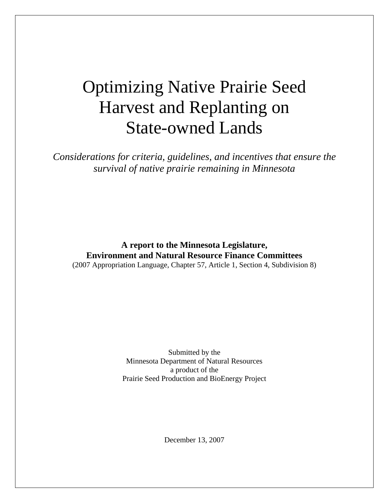# Optimizing Native Prairie Seed Harvest and Replanting on State-owned Lands

*Considerations for criteria, guidelines, and incentives that ensure the survival of native prairie remaining in Minnesota* 

**A report to the Minnesota Legislature, Environment and Natural Resource Finance Committees**  (2007 Appropriation Language, Chapter 57, Article 1, Section 4, Subdivision 8)

> Submitted by the Minnesota Department of Natural Resources a product of the Prairie Seed Production and BioEnergy Project

> > December 13, 2007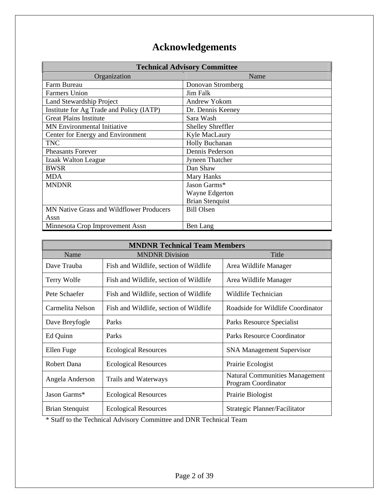## **Acknowledgements**

| <b>Technical Advisory Committee</b>             |                          |  |
|-------------------------------------------------|--------------------------|--|
| Organization                                    | Name                     |  |
| Farm Bureau                                     | Donovan Stromberg        |  |
| <b>Farmers Union</b>                            | Jim Falk                 |  |
| <b>Land Stewardship Project</b>                 | <b>Andrew Yokom</b>      |  |
| Institute for Ag Trade and Policy (IATP)        | Dr. Dennis Keeney        |  |
| <b>Great Plains Institute</b>                   | Sara Wash                |  |
| MN Environmental Initiative                     | <b>Shelley Shreffler</b> |  |
| Center for Energy and Environment               | Kyle MacLaury            |  |
| <b>TNC</b>                                      | Holly Buchanan           |  |
| <b>Pheasants Forever</b>                        | Dennis Pederson          |  |
| Izaak Walton League                             | Jyneen Thatcher          |  |
| <b>BWSR</b>                                     | Dan Shaw                 |  |
| <b>MDA</b>                                      | Mary Hanks               |  |
| <b>MNDNR</b>                                    | Jason Garms*             |  |
|                                                 | Wayne Edgerton           |  |
|                                                 | <b>Brian Stenquist</b>   |  |
| <b>MN Native Grass and Wildflower Producers</b> | <b>Bill Olsen</b>        |  |
| Assn                                            |                          |  |
| Minnesota Crop Improvement Assn                 | Ben Lang                 |  |

| <b>MNDNR Technical Team Members</b> |                                        |                                                              |  |
|-------------------------------------|----------------------------------------|--------------------------------------------------------------|--|
| Name                                | <b>MNDNR Division</b>                  | Title                                                        |  |
| Dave Trauba                         | Fish and Wildlife, section of Wildlife | Area Wildlife Manager                                        |  |
| Terry Wolfe                         | Fish and Wildlife, section of Wildlife | Area Wildlife Manager                                        |  |
| Pete Schaefer                       | Fish and Wildlife, section of Wildlife | Wildlife Technician                                          |  |
| Carmelita Nelson                    | Fish and Wildlife, section of Wildlife | Roadside for Wildlife Coordinator                            |  |
| Dave Breyfogle                      | Parks                                  | Parks Resource Specialist                                    |  |
| Ed Quinn                            | Parks                                  | Parks Resource Coordinator                                   |  |
| Ellen Fuge                          | <b>Ecological Resources</b>            | <b>SNA Management Supervisor</b>                             |  |
| Robert Dana                         | <b>Ecological Resources</b>            | Prairie Ecologist                                            |  |
| Angela Anderson                     | Trails and Waterways                   | <b>Natural Communities Management</b><br>Program Coordinator |  |
| Jason Garms*                        | <b>Ecological Resources</b>            | Prairie Biologist                                            |  |
| <b>Brian Stenquist</b>              | <b>Ecological Resources</b>            | Strategic Planner/Facilitator                                |  |

\* Staff to the Technical Advisory Committee and DNR Technical Team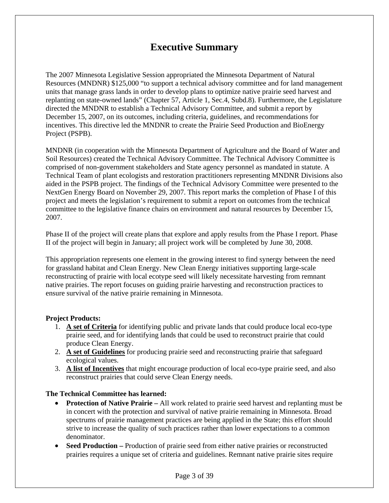## **Executive Summary**

The 2007 Minnesota Legislative Session appropriated the Minnesota Department of Natural Resources (MNDNR) \$125,000 "to support a technical advisory committee and for land management units that manage grass lands in order to develop plans to optimize native prairie seed harvest and replanting on state-owned lands" (Chapter 57, Article 1, Sec.4, Subd.8). Furthermore, the Legislature directed the MNDNR to establish a Technical Advisory Committee, and submit a report by December 15, 2007, on its outcomes, including criteria, guidelines, and recommendations for incentives. This directive led the MNDNR to create the Prairie Seed Production and BioEnergy Project (PSPB).

MNDNR (in cooperation with the Minnesota Department of Agriculture and the Board of Water and Soil Resources) created the Technical Advisory Committee. The Technical Advisory Committee is comprised of non-government stakeholders and State agency personnel as mandated in statute. A Technical Team of plant ecologists and restoration practitioners representing MNDNR Divisions also aided in the PSPB project. The findings of the Technical Advisory Committee were presented to the NextGen Energy Board on November 29, 2007. This report marks the completion of Phase I of this project and meets the legislation's requirement to submit a report on outcomes from the technical committee to the legislative finance chairs on environment and natural resources by December 15, 2007.

Phase II of the project will create plans that explore and apply results from the Phase I report. Phase II of the project will begin in January; all project work will be completed by June 30, 2008.

This appropriation represents one element in the growing interest to find synergy between the need for grassland habitat and Clean Energy. New Clean Energy initiatives supporting large-scale reconstructing of prairie with local ecotype seed will likely necessitate harvesting from remnant native prairies. The report focuses on guiding prairie harvesting and reconstruction practices to ensure survival of the native prairie remaining in Minnesota.

#### **Project Products:**

- 1. **A set of Criteria** for identifying public and private lands that could produce local eco-type prairie seed, and for identifying lands that could be used to reconstruct prairie that could produce Clean Energy.
- 2. **A set of Guidelines** for producing prairie seed and reconstructing prairie that safeguard ecological values.
- 3. **A list of Incentives** that might encourage production of local eco-type prairie seed, and also reconstruct prairies that could serve Clean Energy needs.

#### **The Technical Committee has learned:**

- **Protection of Native Prairie** All work related to prairie seed harvest and replanting must be in concert with the protection and survival of native prairie remaining in Minnesota. Broad spectrums of prairie management practices are being applied in the State; this effort should strive to increase the quality of such practices rather than lower expectations to a common denominator.
- **Seed Production –** Production of prairie seed from either native prairies or reconstructed prairies requires a unique set of criteria and guidelines. Remnant native prairie sites require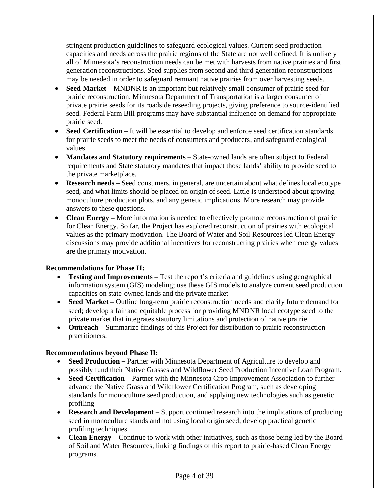stringent production guidelines to safeguard ecological values. Current seed production capacities and needs across the prairie regions of the State are not well defined. It is unlikely all of Minnesota's reconstruction needs can be met with harvests from native prairies and first generation reconstructions. Seed supplies from second and third generation reconstructions may be needed in order to safeguard remnant native prairies from over harvesting seeds.

- **Seed Market –** MNDNR is an important but relatively small consumer of prairie seed for prairie reconstruction. Minnesota Department of Transportation is a larger consumer of private prairie seeds for its roadside reseeding projects, giving preference to source-identified seed. Federal Farm Bill programs may have substantial influence on demand for appropriate prairie seed.
- **Seed Certification** It will be essential to develop and enforce seed certification standards for prairie seeds to meet the needs of consumers and producers, and safeguard ecological values.
- **Mandates and Statutory requirements** State-owned lands are often subject to Federal requirements and State statutory mandates that impact those lands' ability to provide seed to the private marketplace.
- **Research needs** Seed consumers, in general, are uncertain about what defines local ecotype seed, and what limits should be placed on origin of seed. Little is understood about growing monoculture production plots, and any genetic implications. More research may provide answers to these questions.
- **Clean Energy** More information is needed to effectively promote reconstruction of prairie for Clean Energy. So far, the Project has explored reconstruction of prairies with ecological values as the primary motivation. The Board of Water and Soil Resources led Clean Energy discussions may provide additional incentives for reconstructing prairies when energy values are the primary motivation.

#### **Recommendations for Phase II:**

- **Testing and Improvements** Test the report's criteria and guidelines using geographical information system (GIS) modeling; use these GIS models to analyze current seed production capacities on state-owned lands and the private market
- **Seed Market** Outline long-term prairie reconstruction needs and clarify future demand for seed; develop a fair and equitable process for providing MNDNR local ecotype seed to the private market that integrates statutory limitations and protection of native prairie.
- **Outreach** Summarize findings of this Project for distribution to prairie reconstruction practitioners.

#### **Recommendations beyond Phase II:**

- **Seed Production –** Partner with Minnesota Department of Agriculture to develop and possibly fund their Native Grasses and Wildflower Seed Production Incentive Loan Program.
- **Seed Certification** Partner with the Minnesota Crop Improvement Association to further advance the Native Grass and Wildflower Certification Program, such as developing standards for monoculture seed production, and applying new technologies such as genetic profiling
- **Research and Development** Support continued research into the implications of producing seed in monoculture stands and not using local origin seed; develop practical genetic profiling techniques.
- **Clean Energy** Continue to work with other initiatives, such as those being led by the Board of Soil and Water Resources, linking findings of this report to prairie-based Clean Energy programs.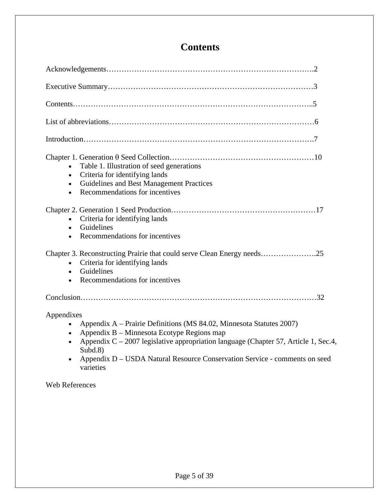## **Contents**

| Table 1. Illustration of seed generations<br>Criteria for identifying lands<br>Guidelines and Best Management Practices<br>Recommendations for incentives<br>$\bullet$                                                                                                                                                                       |
|----------------------------------------------------------------------------------------------------------------------------------------------------------------------------------------------------------------------------------------------------------------------------------------------------------------------------------------------|
| Criteria for identifying lands<br>Guidelines<br>$\bullet$<br>Recommendations for incentives                                                                                                                                                                                                                                                  |
| Chapter 3. Reconstructing Prairie that could serve Clean Energy needs25<br>Criteria for identifying lands<br>$\bullet$<br>Guidelines<br>$\bullet$<br>Recommendations for incentives                                                                                                                                                          |
|                                                                                                                                                                                                                                                                                                                                              |
| Appendixes<br>Appendix A – Prairie Definitions (MS 84.02, Minnesota Statutes 2007)<br>Appendix B – Minnesota Ecotype Regions map<br>$\bullet$<br>Appendix $C - 2007$ legislative appropriation language (Chapter 57, Article 1, Sec.4,<br>Subd.8)<br>Appendix D - USDA Natural Resource Conservation Service - comments on seed<br>varieties |

Web References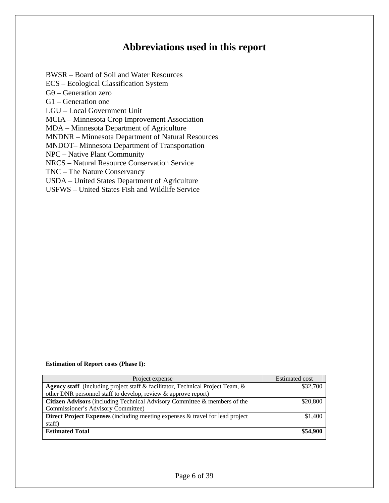## **Abbreviations used in this report**

BWSR – Board of Soil and Water Resources ECS – Ecological Classification System  $G\theta$  – Generation zero G1 – Generation one LGU – Local Government Unit MCIA – Minnesota Crop Improvement Association MDA – Minnesota Department of Agriculture MNDNR – Minnesota Department of Natural Resources MNDOT– Minnesota Department of Transportation NPC – Native Plant Community NRCS – Natural Resource Conservation Service TNC – The Nature Conservancy USDA – United States Department of Agriculture USFWS – United States Fish and Wildlife Service

## **Estimation of Report costs (Phase I):**

| Project expense                                                                       | <b>Estimated cost</b> |
|---------------------------------------------------------------------------------------|-----------------------|
| <b>Agency staff</b> (including project staff & facilitator, Technical Project Team, & | \$32,700              |
| other DNR personnel staff to develop, review $\&$ approve report)                     |                       |
| Citizen Advisors (including Technical Advisory Committee & members of the             | \$20,800              |
| Commissioner's Advisory Committee)                                                    |                       |
| <b>Direct Project Expenses</b> (including meeting expenses & travel for lead project  | \$1,400               |
| staff)                                                                                |                       |
| <b>Estimated Total</b>                                                                | \$54,900              |
|                                                                                       |                       |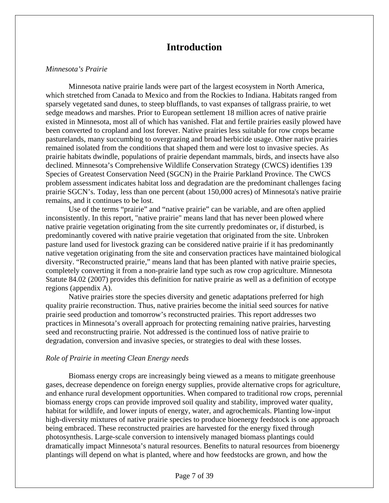## **Introduction**

#### *Minnesota's Prairie*

Minnesota native prairie lands were part of the largest ecosystem in North America, which stretched from Canada to Mexico and from the Rockies to Indiana. Habitats ranged from sparsely vegetated sand dunes, to steep blufflands, to vast expanses of tallgrass prairie, to wet sedge meadows and marshes. Prior to European settlement 18 million acres of native prairie existed in Minnesota, most all of which has vanished. Flat and fertile prairies easily plowed have been converted to cropland and lost forever. Native prairies less suitable for row crops became pasturelands, many succumbing to overgrazing and broad herbicide usage. Other native prairies remained isolated from the conditions that shaped them and were lost to invasive species. As prairie habitats dwindle, populations of prairie dependant mammals, birds, and insects have also declined. Minnesota's Comprehensive Wildlife Conservation Strategy (CWCS) identifies 139 Species of Greatest Conservation Need (SGCN) in the Prairie Parkland Province. The CWCS problem assessment indicates habitat loss and degradation are the predominant challenges facing prairie SGCN's. Today, less than one percent (about 150,000 acres) of Minnesota's native prairie remains, and it continues to be lost.

 Use of the terms "prairie" and "native prairie" can be variable, and are often applied inconsistently. In this report, "native prairie" means land that has never been plowed where native prairie vegetation originating from the site currently predominates or, if disturbed, is predominantly covered with native prairie vegetation that originated from the site. Unbroken pasture land used for livestock grazing can be considered native prairie if it has predominantly native vegetation originating from the site and conservation practices have maintained biological diversity. "Reconstructed prairie," means land that has been planted with native prairie species, completely converting it from a non-prairie land type such as row crop agriculture. Minnesota Statute 84.02 (2007) provides this definition for native prairie as well as a definition of ecotype regions (appendix A).

Native prairies store the species diversity and genetic adaptations preferred for high quality prairie reconstruction. Thus, native prairies become the initial seed sources for native prairie seed production and tomorrow's reconstructed prairies. This report addresses two practices in Minnesota's overall approach for protecting remaining native prairies, harvesting seed and reconstructing prairie. Not addressed is the continued loss of native prairie to degradation, conversion and invasive species, or strategies to deal with these losses.

#### *Role of Prairie in meeting Clean Energy needs*

Biomass energy crops are increasingly being viewed as a means to mitigate greenhouse gases, decrease dependence on foreign energy supplies, provide alternative crops for agriculture, and enhance rural development opportunities. When compared to traditional row crops, perennial biomass energy crops can provide improved soil quality and stability, improved water quality, habitat for wildlife, and lower inputs of energy, water, and agrochemicals. Planting low-input high-diversity mixtures of native prairie species to produce bioenergy feedstock is one approach being embraced. These reconstructed prairies are harvested for the energy fixed through photosynthesis. Large-scale conversion to intensively managed biomass plantings could dramatically impact Minnesota's natural resources. Benefits to natural resources from bioenergy plantings will depend on what is planted, where and how feedstocks are grown, and how the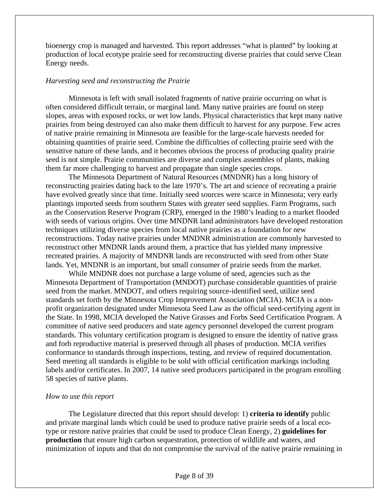bioenergy crop is managed and harvested. This report addresses "what is planted" by looking at production of local ecotype prairie seed for reconstructing diverse prairies that could serve Clean Energy needs.

#### *Harvesting seed and reconstructing the Prairie*

Minnesota is left with small isolated fragments of native prairie occurring on what is often considered difficult terrain, or marginal land. Many native prairies are found on steep slopes, areas with exposed rocks, or wet low lands. Physical characteristics that kept many native prairies from being destroyed can also make them difficult to harvest for any purpose. Few acres of native prairie remaining in Minnesota are feasible for the large-scale harvests needed for obtaining quantities of prairie seed. Combine the difficulties of collecting prairie seed with the sensitive nature of these lands, and it becomes obvious the process of producing quality prairie seed is not simple. Prairie communities are diverse and complex assembles of plants, making them far more challenging to harvest and propagate than single species crops.

The Minnesota Department of Natural Resources (MNDNR) has a long history of reconstructing prairies dating back to the late 1970's. The art and science of recreating a prairie have evolved greatly since that time. Initially seed sources were scarce in Minnesota; very early plantings imported seeds from southern States with greater seed supplies. Farm Programs, such as the Conservation Reserve Program (CRP), emerged in the 1980's leading to a market flooded with seeds of various origins. Over time MNDNR land administrators have developed restoration techniques utilizing diverse species from local native prairies as a foundation for new reconstructions. Today native prairies under MNDNR administration are commonly harvested to reconstruct other MNDNR lands around them, a practice that has yielded many impressive recreated prairies. A majority of MNDNR lands are reconstructed with seed from other State lands. Yet, MNDNR is an important, but small consumer of prairie seeds from the market.

While MNDNR does not purchase a large volume of seed, agencies such as the Minnesota Department of Transportation (MNDOT) purchase considerable quantities of prairie seed from the market. MNDOT, and others requiring source-identified seed, utilize seed standards set forth by the Minnesota Crop Improvement Association (MCIA). MCIA is a nonprofit organization designated under Minnesota Seed Law as the official seed-certifying agent in the State. In 1998, MCIA developed the Native Grasses and Forbs Seed Certification Program. A committee of native seed producers and state agency personnel developed the current program standards. This voluntary certification program is designed to ensure the identity of native grass and forb reproductive material is preserved through all phases of production. MCIA verifies conformance to standards through inspections, testing, and review of required documentation. Seed meeting all standards is eligible to be sold with official certification markings including labels and/or certificates. In 2007, 14 native seed producers participated in the program enrolling 58 species of native plants.

#### *How to use this report*

 The Legislature directed that this report should develop: 1) **criteria to identify** public and private marginal lands which could be used to produce native prairie seeds of a local ecotype or restore native prairies that could be used to produce Clean Energy, 2) **guidelines for production** that ensure high carbon sequestration, protection of wildlife and waters, and minimization of inputs and that do not compromise the survival of the native prairie remaining in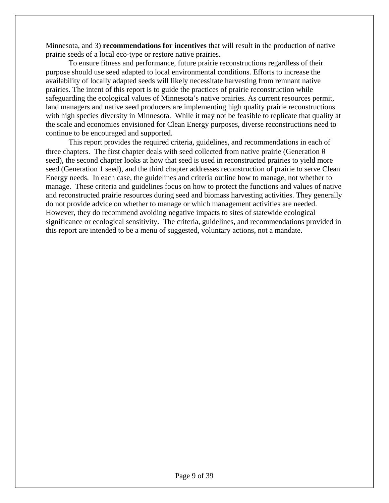Minnesota, and 3) **recommendations for incentives** that will result in the production of native prairie seeds of a local eco-type or restore native prairies.

To ensure fitness and performance, future prairie reconstructions regardless of their purpose should use seed adapted to local environmental conditions. Efforts to increase the availability of locally adapted seeds will likely necessitate harvesting from remnant native prairies. The intent of this report is to guide the practices of prairie reconstruction while safeguarding the ecological values of Minnesota's native prairies. As current resources permit, land managers and native seed producers are implementing high quality prairie reconstructions with high species diversity in Minnesota. While it may not be feasible to replicate that quality at the scale and economies envisioned for Clean Energy purposes, diverse reconstructions need to continue to be encouraged and supported.

This report provides the required criteria, guidelines, and recommendations in each of three chapters. The first chapter deals with seed collected from native prairie (Generation  $\theta$ ) seed), the second chapter looks at how that seed is used in reconstructed prairies to yield more seed (Generation 1 seed), and the third chapter addresses reconstruction of prairie to serve Clean Energy needs. In each case, the guidelines and criteria outline how to manage, not whether to manage. These criteria and guidelines focus on how to protect the functions and values of native and reconstructed prairie resources during seed and biomass harvesting activities. They generally do not provide advice on whether to manage or which management activities are needed. However, they do recommend avoiding negative impacts to sites of statewide ecological significance or ecological sensitivity. The criteria, guidelines, and recommendations provided in this report are intended to be a menu of suggested, voluntary actions, not a mandate.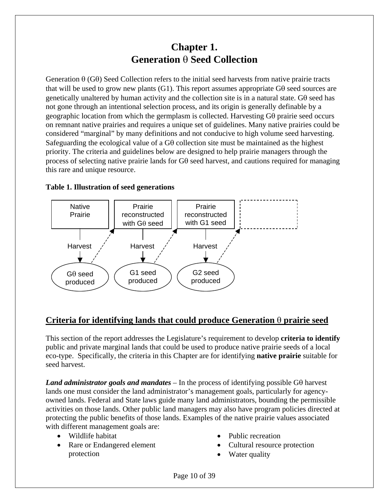## **Chapter 1. Generation** θ **Seed Collection**

Generation θ (Gθ) Seed Collection refers to the initial seed harvests from native prairie tracts that will be used to grow new plants (G1). This report assumes appropriate  $G\theta$  seed sources are genetically unaltered by human activity and the collection site is in a natural state. Gθ seed has not gone through an intentional selection process, and its origin is generally definable by a geographic location from which the germplasm is collected. Harvesting Gθ prairie seed occurs on remnant native prairies and requires a unique set of guidelines. Many native prairies could be considered "marginal" by many definitions and not conducive to high volume seed harvesting. Safeguarding the ecological value of a  $G\theta$  collection site must be maintained as the highest priority. The criteria and guidelines below are designed to help prairie managers through the process of selecting native prairie lands for Gθ seed harvest, and cautions required for managing this rare and unique resource.

### **Table 1. Illustration of seed generations**



## **Criteria for identifying lands that could produce Generation** θ **prairie seed**

This section of the report addresses the Legislature's requirement to develop **criteria to identify** public and private marginal lands that could be used to produce native prairie seeds of a local eco-type. Specifically, the criteria in this Chapter are for identifying **native prairie** suitable for seed harvest.

*Land administrator goals and mandates* – In the process of identifying possible Gθ harvest lands one must consider the land administrator's management goals, particularly for agencyowned lands. Federal and State laws guide many land administrators, bounding the permissible activities on those lands. Other public land managers may also have program policies directed at protecting the public benefits of those lands. Examples of the native prairie values associated with different management goals are:

- Wildlife habitat
- Rare or Endangered element protection
- Public recreation
- Cultural resource protection
- Water quality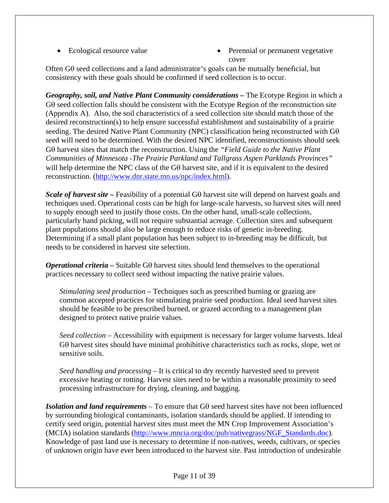- 
- Ecological resource value Perennial or permanent vegetative cover

Often Gθ seed collections and a land administrator's goals can be mutually beneficial, but consistency with these goals should be confirmed if seed collection is to occur.

*Geography, soil, and Native Plant Community considerations –* The Ecotype Region in which a Gθ seed collection falls should be consistent with the Ecotype Region of the reconstruction site (Appendix A). Also, the soil characteristics of a seed collection site should match those of the desired reconstruction(s) to help ensure successful establishment and sustainability of a prairie seeding. The desired Native Plant Community (NPC) classification being reconstructed with Gθ seed will need to be determined. With the desired NPC identified, reconstructionists should seek Gθ harvest sites that match the reconstruction. Using the *"Field Guide to the Native Plant Communities of Minnesota -The Prairie Parkland and Tallgrass Aspen Parklands Provinces"* will help determine the NPC class of the Gθ harvest site, and if it is equivalent to the desired reconstruction. ([http://www.dnr.state.mn.us/npc/index.html\)](http://www.dnr.state.mn.us/npc/index.html).

*Scale of harvest site –* Feasibility of a potential Gθ harvest site will depend on harvest goals and techniques used. Operational costs can be high for large-scale harvests, so harvest sites will need to supply enough seed to justify those costs. On the other hand, small-scale collections, particularly hand picking, will not require substantial acreage. Collection sites and subsequent plant populations should also be large enough to reduce risks of genetic in-breeding. Determining if a small plant population has been subject to in-breeding may be difficult, but needs to be considered in harvest site selection.

*Operational criteria –* Suitable Gθ harvest sites should lend themselves to the operational practices necessary to collect seed without impacting the native prairie values.

*Stimulating seed production –* Techniques such as prescribed burning or grazing are common accepted practices for stimulating prairie seed production. Ideal seed harvest sites should be feasible to be prescribed burned, or grazed according to a management plan designed to protect native prairie values.

*Seed collection* – Accessibility with equipment is necessary for larger volume harvests. Ideal Gθ harvest sites should have minimal prohibitive characteristics such as rocks, slope, wet or sensitive soils.

*Seed handling and processing* – It is critical to dry recently harvested seed to prevent excessive heating or rotting. Harvest sites need to be within a reasonable proximity to seed processing infrastructure for drying, cleaning, and bagging.

*Isolation and land requirements* – To ensure that Gθ seed harvest sites have not been influenced by surrounding biological contaminants, isolation standards should be applied. If intending to certify seed origin, potential harvest sites must meet the MN Crop Improvement Association's (MCIA) isolation standards [\(http://www.mncia.org/doc/pub/nativegrass/NGF\\_Standards.doc](http://www.mncia.org/doc/pub/nativegrass/NGF_Standards.doc)). Knowledge of past land use is necessary to determine if non-natives, weeds, cultivars, or species of unknown origin have ever been introduced to the harvest site. Past introduction of undesirable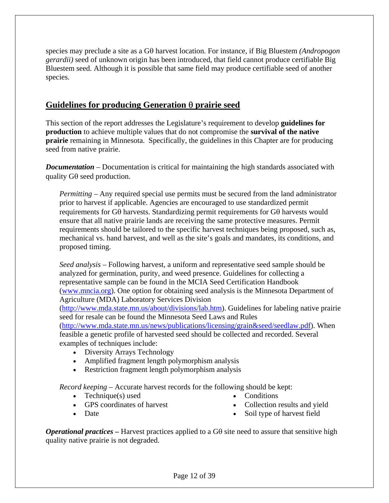species may preclude a site as a Gθ harvest location. For instance, if Big Bluestem *(Andropogon gerardii)* seed of unknown origin has been introduced, that field cannot produce certifiable Big Bluestem seed. Although it is possible that same field may produce certifiable seed of another species.

### **Guidelines for producing Generation** θ **prairie seed**

This section of the report addresses the Legislature's requirement to develop **guidelines for production** to achieve multiple values that do not compromise the **survival of the native prairie** remaining in Minnesota. Specifically, the guidelines in this Chapter are for producing seed from native prairie.

**Documentation** – Documentation is critical for maintaining the high standards associated with quality Gθ seed production.

*Permitting –* Any required special use permits must be secured from the land administrator prior to harvest if applicable. Agencies are encouraged to use standardized permit requirements for Gθ harvests. Standardizing permit requirements for Gθ harvests would ensure that all native prairie lands are receiving the same protective measures. Permit requirements should be tailored to the specific harvest techniques being proposed, such as, mechanical vs. hand harvest, and well as the site's goals and mandates, its conditions, and proposed timing.

*Seed analysis –* Following harvest, a uniform and representative seed sample should be analyzed for germination, purity, and weed presence. Guidelines for collecting a representative sample can be found in the MCIA Seed Certification Handbook ([www.mncia.org\)](http://www.mncia.org/). One option for obtaining seed analysis is the Minnesota Department of Agriculture (MDA) Laboratory Services Division

(<http://www.mda.state.mn.us/about/divisions/lab.htm>). Guidelines for labeling native prairie seed for resale can be found the Minnesota Seed Laws and Rules

(<http://www.mda.state.mn.us/news/publications/licensing/grain&seed/seedlaw.pdf>). When feasible a genetic profile of harvested seed should be collected and recorded. Several examples of techniques include:

- Diversity Arrays Technology
- Amplified fragment length polymorphism analysis
- Restriction fragment length polymorphism analysis

*Record keeping –* Accurate harvest records for the following should be kept:

- Technique $(s)$  used
- GPS coordinates of harvest
- Conditions
- 
- 
- Collection results and yield

• Date

Soil type of harvest field

*Operational practices –* Harvest practices applied to a Gθ site need to assure that sensitive high quality native prairie is not degraded.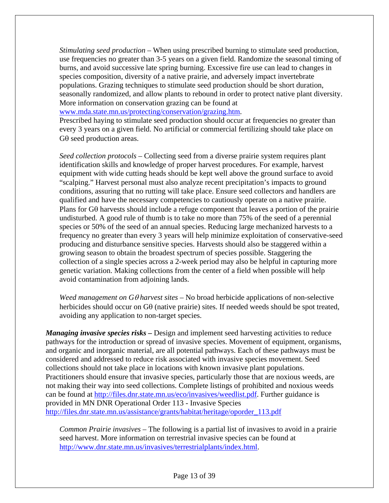*Stimulating seed production –* When using prescribed burning to stimulate seed production, use frequencies no greater than 3-5 years on a given field. Randomize the seasonal timing of burns, and avoid successive late spring burning. Excessive fire use can lead to changes in species composition, diversity of a native prairie, and adversely impact invertebrate populations. Grazing techniques to stimulate seed production should be short duration, seasonally randomized, and allow plants to rebound in order to protect native plant diversity. More information on conservation grazing can be found at

[www.mda.state.mn.us/protecting/conservation/grazing.htm.](http://www.mda.state.mn.us/protecting/conservation/grazing.htm)

Prescribed haying to stimulate seed production should occur at frequencies no greater than every 3 years on a given field. No artificial or commercial fertilizing should take place on Gθ seed production areas.

*Seed collection protocols –* Collecting seed from a diverse prairie system requires plant identification skills and knowledge of proper harvest procedures. For example, harvest equipment with wide cutting heads should be kept well above the ground surface to avoid "scalping." Harvest personal must also analyze recent precipitation's impacts to ground conditions, assuring that no rutting will take place. Ensure seed collectors and handlers are qualified and have the necessary competencies to cautiously operate on a native prairie. Plans for Gθ harvests should include a refuge component that leaves a portion of the prairie undisturbed. A good rule of thumb is to take no more than 75% of the seed of a perennial species or 50% of the seed of an annual species. Reducing large mechanized harvests to a frequency no greater than every 3 years will help minimize exploitation of conservative-seed producing and disturbance sensitive species. Harvests should also be staggered within a growing season to obtain the broadest spectrum of species possible. Staggering the collection of a single species across a 2-week period may also be helpful in capturing more genetic variation. Making collections from the center of a field when possible will help avoid contamination from adjoining lands.

*Weed management on G*θ *harvest sites –* No broad herbicide applications of non-selective herbicides should occur on Gθ (native prairie) sites. If needed weeds should be spot treated, avoiding any application to non-target species.

*Managing invasive species risks –* Design and implement seed harvesting activities to reduce pathways for the introduction or spread of invasive species. Movement of equipment, organisms, and organic and inorganic material, are all potential pathways. Each of these pathways must be considered and addressed to reduce risk associated with invasive species movement. Seed collections should not take place in locations with known invasive plant populations. Practitioners should ensure that invasive species, particularly those that are noxious weeds, are not making their way into seed collections. Complete listings of prohibited and noxious weeds can be found at <http://files.dnr.state.mn.us/eco/invasives/weedlist.pdf>. Further guidance is provided in MN DNR Operational Order 113 - Invasive Species [http://files.dnr.state.mn.us/assistance/grants/habitat/heritage/oporder\\_113.pdf](http://files.dnr.state.mn.us/assistance/grants/habitat/heritage/oporder_113.pdf)

*Common Prairie invasives –* The following is a partial list of invasives to avoid in a prairie seed harvest. More information on terrestrial invasive species can be found at <http://www.dnr.state.mn.us/invasives/terrestrialplants/index.html>.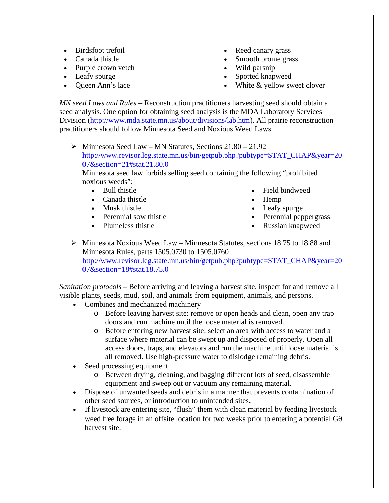- Birdsfoot trefoil
- Canada thistle
- Purple crown vetch
- Leafy spurge
- Queen Ann's lace
- Reed canary grass
- Smooth brome grass
- Wild parsnip
- Spotted knapweed
- White & yellow sweet clover

*MN seed Laws and Rules –* Reconstruction practitioners harvesting seed should obtain a seed analysis. One option for obtaining seed analysis is the MDA Laboratory Services Division ([http://www.mda.state.mn.us/about/divisions/lab.htm\)](http://www.mda.state.mn.us/about/divisions/lab.htm). All prairie reconstruction practitioners should follow Minnesota Seed and Noxious Weed Laws.

 $\triangleright$  Minnesota Seed Law – MN Statutes, Sections 21.80 – 21.92 http://www.revisor.leg.state.mn.us/bin/getpub.php?pubtype=STAT\_CHAP&year=20 07&section=21#stat.21.80.0

Minnesota seed law forbids selling seed containing the following "prohibited noxious weeds":

- Bull thistle
- Canada thistle
- Musk thistle
- Perennial sow thistle
- Plumeless thistle
- Field bindweed
- Hemp
- Leafy spurge
- Perennial peppergrass
- Russian knapweed
- $\triangleright$  Minnesota Noxious Weed Law Minnesota Statutes, sections 18.75 to 18.88 and Minnesota Rules, parts 1505.0730 to 1505.0760 http://www.revisor.leg.state.mn.us/bin/getpub.php?pubtype=STAT\_CHAP&year=20 07&section=18#stat.18.75.0

*Sanitation protocols* – Before arriving and leaving a harvest site, inspect for and remove all visible plants, seeds, mud, soil, and animals from equipment, animals, and persons.

- Combines and mechanized machinery
	- o Before leaving harvest site: remove or open heads and clean, open any trap doors and run machine until the loose material is removed.
	- o Before entering new harvest site: select an area with access to water and a surface where material can be swept up and disposed of properly. Open all access doors, traps, and elevators and run the machine until loose material is all removed. Use high-pressure water to dislodge remaining debris.
- Seed processing equipment
	- o Between drying, cleaning, and bagging different lots of seed, disassemble equipment and sweep out or vacuum any remaining material.
- Dispose of unwanted seeds and debris in a manner that prevents contamination of other seed sources, or introduction to unintended sites.
- If livestock are entering site, "flush" them with clean material by feeding livestock weed free forage in an offsite location for two weeks prior to entering a potential Gθ harvest site.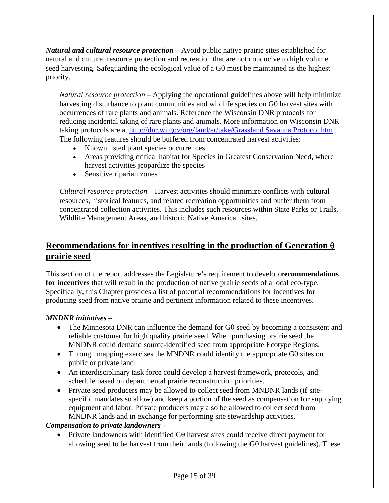*Natural and cultural resource protection –* Avoid public native prairie sites established for natural and cultural resource protection and recreation that are not conducive to high volume seed harvesting. Safeguarding the ecological value of a Gθ must be maintained as the highest priority.

*Natural resource protection –* Applying the operational guidelines above will help minimize harvesting disturbance to plant communities and wildlife species on Gθ harvest sites with occurrences of rare plants and animals. Reference the Wisconsin DNR protocols for reducing incidental taking of rare plants and animals. More information on Wisconsin DNR taking protocols are at <http://dnr.wi.gov/org/land/er/take/Grassland Savanna Protocol.htm> The following features should be buffered from concentrated harvest activities:

- Known listed plant species occurrences
- Areas providing critical habitat for Species in Greatest Conservation Need, where harvest activities jeopardize the species
- Sensitive riparian zones

*Cultural resource protection –* Harvest activities should minimize conflicts with cultural resources, historical features, and related recreation opportunities and buffer them from concentrated collection activities. This includes such resources within State Parks or Trails, Wildlife Management Areas, and historic Native American sites.

## **Recommendations for incentives resulting in the production of Generation** θ **prairie seed**

This section of the report addresses the Legislature's requirement to develop **recommendations for incentives** that will result in the production of native prairie seeds of a local eco-type. Specifically, this Chapter provides a list of potential recommendations for incentives for producing seed from native prairie and pertinent information related to these incentives.

### *MNDNR initiatives* –

- The Minnesota DNR can influence the demand for Gθ seed by becoming a consistent and reliable customer for high quality prairie seed. When purchasing prairie seed the MNDNR could demand source-identified seed from appropriate Ecotype Regions.
- Through mapping exercises the MNDNR could identify the appropriate Gθ sites on public or private land.
- An interdisciplinary task force could develop a harvest framework, protocols, and schedule based on departmental prairie reconstruction priorities.
- Private seed producers may be allowed to collect seed from MNDNR lands (if sitespecific mandates so allow) and keep a portion of the seed as compensation for supplying equipment and labor. Private producers may also be allowed to collect seed from MNDNR lands and in exchange for performing site stewardship activities.

### *Compensation to private landowners –*

• Private landowners with identified Gθ harvest sites could receive direct payment for allowing seed to be harvest from their lands (following the Gθ harvest guidelines). These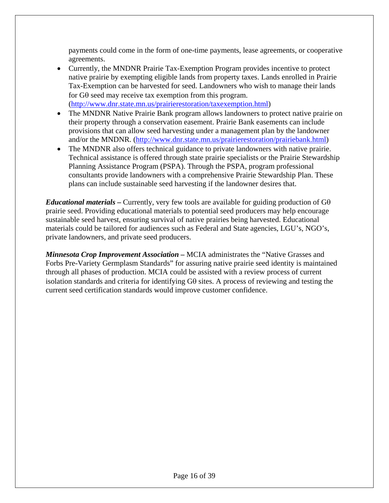payments could come in the form of one-time payments, lease agreements, or cooperative agreements.

- Currently, the MNDNR Prairie Tax-Exemption Program provides incentive to protect native prairie by exempting eligible lands from property taxes. Lands enrolled in Prairie Tax-Exemption can be harvested for seed. Landowners who wish to manage their lands for Gθ seed may receive tax exemption from this program. (<http://www.dnr.state.mn.us/prairierestoration/taxexemption.html>)
- The MNDNR Native Prairie Bank program allows landowners to protect native prairie on their property through a conservation easement. Prairie Bank easements can include provisions that can allow seed harvesting under a management plan by the landowner and/or the MNDNR. ([http://www.dnr.state.mn.us/prairierestoration/prairiebank.html\)](http://www.dnr.state.mn.us/prairierestoration/prairiebank.html)
- The MNDNR also offers technical guidance to private landowners with native prairie. Technical assistance is offered through state prairie specialists or the Prairie Stewardship Planning Assistance Program (PSPA). Through the PSPA, program professional consultants provide landowners with a comprehensive Prairie Stewardship Plan. These plans can include sustainable seed harvesting if the landowner desires that.

*Educational materials – Currently, very few tools are available for guiding production of G* $\theta$ prairie seed. Providing educational materials to potential seed producers may help encourage sustainable seed harvest, ensuring survival of native prairies being harvested. Educational materials could be tailored for audiences such as Federal and State agencies, LGU's, NGO's, private landowners, and private seed producers.

*Minnesota Crop Improvement Association –* MCIA administrates the "Native Grasses and Forbs Pre-Variety Germplasm Standards" for assuring native prairie seed identity is maintained through all phases of production. MCIA could be assisted with a review process of current isolation standards and criteria for identifying Gθ sites. A process of reviewing and testing the current seed certification standards would improve customer confidence.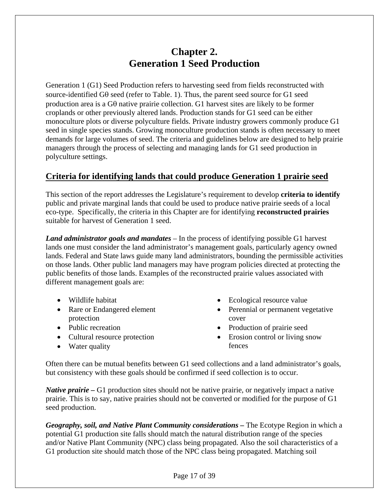## **Chapter 2. Generation 1 Seed Production**

Generation 1 (G1) Seed Production refers to harvesting seed from fields reconstructed with source-identified Gθ seed (refer to Table. 1). Thus, the parent seed source for G1 seed production area is a Gθ native prairie collection. G1 harvest sites are likely to be former croplands or other previously altered lands. Production stands for G1 seed can be either monoculture plots or diverse polyculture fields. Private industry growers commonly produce G1 seed in single species stands. Growing monoculture production stands is often necessary to meet demands for large volumes of seed. The criteria and guidelines below are designed to help prairie managers through the process of selecting and managing lands for G1 seed production in polyculture settings.

## **Criteria for identifying lands that could produce Generation 1 prairie seed**

This section of the report addresses the Legislature's requirement to develop **criteria to identify** public and private marginal lands that could be used to produce native prairie seeds of a local eco-type. Specifically, the criteria in this Chapter are for identifying **reconstructed prairies** suitable for harvest of Generation 1 seed.

*Land administrator goals and mandates* – In the process of identifying possible G1 harvest lands one must consider the land administrator's management goals, particularly agency owned lands. Federal and State laws guide many land administrators, bounding the permissible activities on those lands. Other public land managers may have program policies directed at protecting the public benefits of those lands. Examples of the reconstructed prairie values associated with different management goals are:

- Wildlife habitat
- Rare or Endangered element protection
- Public recreation
- Cultural resource protection
- Water quality
- Ecological resource value
- Perennial or permanent vegetative cover
- Production of prairie seed
- Erosion control or living snow fences

Often there can be mutual benefits between G1 seed collections and a land administrator's goals, but consistency with these goals should be confirmed if seed collection is to occur.

*Native prairie –* G1 production sites should not be native prairie, or negatively impact a native prairie. This is to say, native prairies should not be converted or modified for the purpose of G1 seed production.

*Geography, soil, and Native Plant Community considerations –* The Ecotype Region in which a potential G1 production site falls should match the natural distribution range of the species and/or Native Plant Community (NPC) class being propagated. Also the soil characteristics of a G1 production site should match those of the NPC class being propagated. Matching soil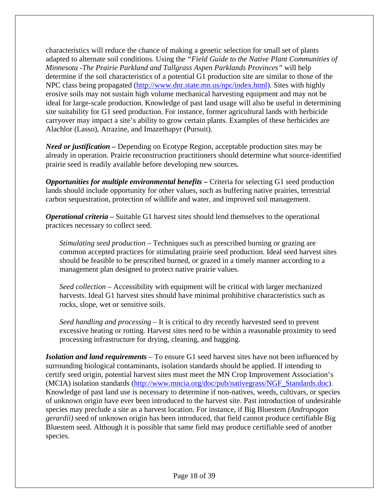characteristics will reduce the chance of making a genetic selection for small set of plants adapted to alternate soil conditions. Using the *"Field Guide to the Native Plant Communities of Minnesota -The Prairie Parkland and Tallgrass Aspen Parklands Provinces"* will help determine if the soil characteristics of a potential G1 production site are similar to those of the NPC class being propagated ([http://www.dnr.state.mn.us/npc/index.html\)](http://www.dnr.state.mn.us/npc/index.html). Sites with highly erosive soils may not sustain high volume mechanical harvesting equipment and may not be ideal for large-scale production. Knowledge of past land usage will also be useful in determining site suitability for G1 seed production. For instance, former agricultural lands with herbicide carryover may impact a site's ability to grow certain plants. Examples of these herbicides are Alachlor (Lasso), Atrazine, and Imazethapyr (Pursuit).

*Need or justification –* Depending on Ecotype Region, acceptable production sites may be already in operation. Prairie reconstruction practitioners should determine what source-identified prairie seed is readily available before developing new sources.

*Opportunities for multiple environmental benefits –* Criteria for selecting G1 seed production lands should include opportunity for other values, such as buffering native prairies, terrestrial carbon sequestration, protection of wildlife and water, and improved soil management.

*Operational criteria –* Suitable G1 harvest sites should lend themselves to the operational practices necessary to collect seed.

*Stimulating seed production –* Techniques such as prescribed burning or grazing are common accepted practices for stimulating prairie seed production. Ideal seed harvest sites should be feasible to be prescribed burned, or grazed in a timely manner according to a management plan designed to protect native prairie values.

*Seed collection* – Accessibility with equipment will be critical with larger mechanized harvests. Ideal G1 harvest sites should have minimal prohibitive characteristics such as rocks, slope, wet or sensitive soils.

*Seed handling and processing* – It is critical to dry recently harvested seed to prevent excessive heating or rotting. Harvest sites need to be within a reasonable proximity to seed processing infrastructure for drying, cleaning, and bagging.

*Isolation and land requirements* – To ensure G1 seed harvest sites have not been influenced by surrounding biological contaminants, isolation standards should be applied. If intending to certify seed origin, potential harvest sites must meet the MN Crop Improvement Association's (MCIA) isolation standards [\(http://www.mncia.org/doc/pub/nativegrass/NGF\\_Standards.doc](http://www.mncia.org/doc/pub/nativegrass/NGF_Standards.doc)). Knowledge of past land use is necessary to determine if non-natives, weeds, cultivars, or species of unknown origin have ever been introduced to the harvest site. Past introduction of undesirable species may preclude a site as a harvest location. For instance, if Big Bluestem *(Andropogon gerardii)* seed of unknown origin has been introduced, that field cannot produce certifiable Big Bluestem seed. Although it is possible that same field may produce certifiable seed of another species.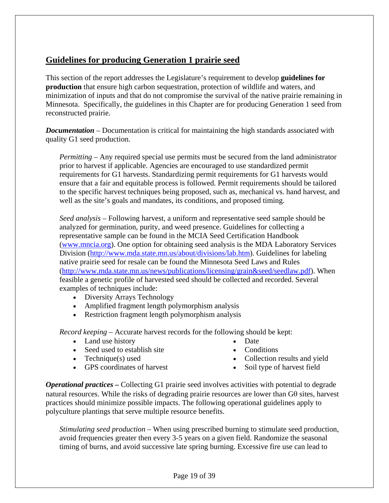## **Guidelines for producing Generation 1 prairie seed**

This section of the report addresses the Legislature's requirement to develop **guidelines for production** that ensure high carbon sequestration, protection of wildlife and waters, and minimization of inputs and that do not compromise the survival of the native prairie remaining in Minnesota. Specifically, the guidelines in this Chapter are for producing Generation 1 seed from reconstructed prairie.

*Documentation* – Documentation is critical for maintaining the high standards associated with quality G1 seed production.

*Permitting –* Any required special use permits must be secured from the land administrator prior to harvest if applicable. Agencies are encouraged to use standardized permit requirements for G1 harvests. Standardizing permit requirements for G1 harvests would ensure that a fair and equitable process is followed. Permit requirements should be tailored to the specific harvest techniques being proposed, such as, mechanical vs. hand harvest, and well as the site's goals and mandates, its conditions, and proposed timing.

*Seed analysis –* Following harvest, a uniform and representative seed sample should be analyzed for germination, purity, and weed presence. Guidelines for collecting a representative sample can be found in the MCIA Seed Certification Handbook ([www.mncia.org\)](http://www.mncia.org/). One option for obtaining seed analysis is the MDA Laboratory Services Division ([http://www.mda.state.mn.us/about/divisions/lab.htm\)](http://www.mda.state.mn.us/about/divisions/lab.htm). Guidelines for labeling native prairie seed for resale can be found the Minnesota Seed Laws and Rules (<http://www.mda.state.mn.us/news/publications/licensing/grain&seed/seedlaw.pdf>). When feasible a genetic profile of harvested seed should be collected and recorded. Several examples of techniques include:

- Diversity Arrays Technology
- Amplified fragment length polymorphism analysis
- Restriction fragment length polymorphism analysis

*Record keeping –* Accurate harvest records for the following should be kept:

- Land use history
- Seed used to establish site
- Technique(s) used
- GPS coordinates of harvest
- Date
- Conditions
- Collection results and yield
- Soil type of harvest field

*Operational practices –* Collecting G1 prairie seed involves activities with potential to degrade natural resources. While the risks of degrading prairie resources are lower than Gθ sites, harvest practices should minimize possible impacts. The following operational guidelines apply to polyculture plantings that serve multiple resource benefits.

*Stimulating seed production –* When using prescribed burning to stimulate seed production, avoid frequencies greater then every 3-5 years on a given field. Randomize the seasonal timing of burns, and avoid successive late spring burning. Excessive fire use can lead to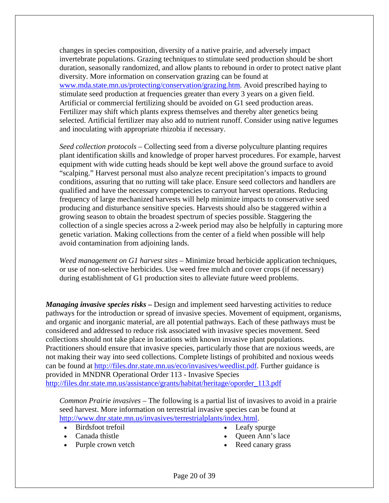changes in species composition, diversity of a native prairie, and adversely impact invertebrate populations. Grazing techniques to stimulate seed production should be short duration, seasonally randomized, and allow plants to rebound in order to protect native plant diversity. More information on conservation grazing can be found at [www.mda.state.mn.us/protecting/conservation/grazing.htm.](http://www.mda.state.mn.us/protecting/conservation/grazing.htm) Avoid prescribed haying to stimulate seed production at frequencies greater than every 3 years on a given field. Artificial or commercial fertilizing should be avoided on G1 seed production areas. Fertilizer may shift which plants express themselves and thereby alter genetics being selected. Artificial fertilizer may also add to nutrient runoff. Consider using native legumes and inoculating with appropriate rhizobia if necessary.

*Seed collection protocols –* Collecting seed from a diverse polyculture planting requires plant identification skills and knowledge of proper harvest procedures. For example, harvest equipment with wide cutting heads should be kept well above the ground surface to avoid "scalping." Harvest personal must also analyze recent precipitation's impacts to ground conditions, assuring that no rutting will take place. Ensure seed collectors and handlers are qualified and have the necessary competencies to carryout harvest operations. Reducing frequency of large mechanized harvests will help minimize impacts to conservative seed producing and disturbance sensitive species. Harvests should also be staggered within a growing season to obtain the broadest spectrum of species possible. Staggering the collection of a single species across a 2-week period may also be helpfully in capturing more genetic variation. Making collections from the center of a field when possible will help avoid contamination from adjoining lands.

*Weed management on G1 harvest sites –* Minimize broad herbicide application techniques, or use of non-selective herbicides. Use weed free mulch and cover crops (if necessary) during establishment of G1 production sites to alleviate future weed problems.

*Managing invasive species risks –* Design and implement seed harvesting activities to reduce pathways for the introduction or spread of invasive species. Movement of equipment, organisms, and organic and inorganic material, are all potential pathways. Each of these pathways must be considered and addressed to reduce risk associated with invasive species movement. Seed collections should not take place in locations with known invasive plant populations. Practitioners should ensure that invasive species, particularly those that are noxious weeds, are not making their way into seed collections. Complete listings of prohibited and noxious weeds can be found at <http://files.dnr.state.mn.us/eco/invasives/weedlist.pdf>. Further guidance is provided in MNDNR Operational Order 113 - Invasive Species [http://files.dnr.state.mn.us/assistance/grants/habitat/heritage/oporder\\_113.pdf](http://files.dnr.state.mn.us/assistance/grants/habitat/heritage/oporder_113.pdf)

*Common Prairie invasives –* The following is a partial list of invasives to avoid in a prairie seed harvest. More information on terrestrial invasive species can be found at <http://www.dnr.state.mn.us/invasives/terrestrialplants/index.html>.

- Birdsfoot trefoil
- Canada thistle
- Purple crown vetch
- Leafy spurge
- Queen Ann's lace
- Reed canary grass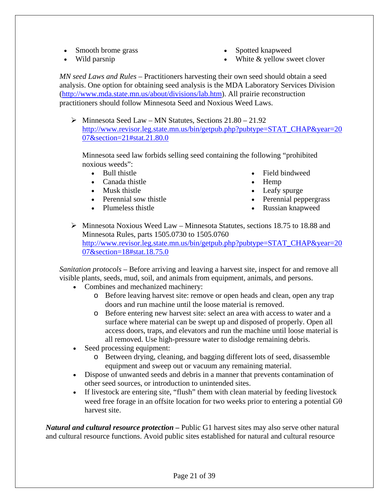- Smooth brome grass
- Wild parsnip
- Spotted knapweed
- White & yellow sweet clover

*MN seed Laws and Rules –* Practitioners harvesting their own seed should obtain a seed analysis. One option for obtaining seed analysis is the MDA Laboratory Services Division (<http://www.mda.state.mn.us/about/divisions/lab.htm>). All prairie reconstruction practitioners should follow Minnesota Seed and Noxious Weed Laws.

 $\triangleright$  Minnesota Seed Law – MN Statutes, Sections 21.80 – 21.92 http://www.revisor.leg.state.mn.us/bin/getpub.php?pubtype=STAT\_CHAP&year=20 07&section=21#stat.21.80.0

Minnesota seed law forbids selling seed containing the following "prohibited noxious weeds":

- Bull thistle
- Canada thistle
- Musk thistle
- Perennial sow thistle
- Plumeless thistle
- Field bindweed
- Hemp
- Leafy spurge
- Perennial peppergrass
- Russian knapweed

 $\triangleright$  Minnesota Noxious Weed Law – Minnesota Statutes, sections 18.75 to 18.88 and Minnesota Rules, parts 1505.0730 to 1505.0760 http://www.revisor.leg.state.mn.us/bin/getpub.php?pubtype=STAT\_CHAP&year=20 07&section=18#stat.18.75.0

*Sanitation protocols* – Before arriving and leaving a harvest site, inspect for and remove all visible plants, seeds, mud, soil, and animals from equipment, animals, and persons.

- Combines and mechanized machinery:
	- o Before leaving harvest site: remove or open heads and clean, open any trap doors and run machine until the loose material is removed.
	- o Before entering new harvest site: select an area with access to water and a surface where material can be swept up and disposed of properly. Open all access doors, traps, and elevators and run the machine until loose material is all removed. Use high-pressure water to dislodge remaining debris.
- Seed processing equipment:
	- o Between drying, cleaning, and bagging different lots of seed, disassemble equipment and sweep out or vacuum any remaining material.
- Dispose of unwanted seeds and debris in a manner that prevents contamination of other seed sources, or introduction to unintended sites.
- If livestock are entering site, "flush" them with clean material by feeding livestock weed free forage in an offsite location for two weeks prior to entering a potential Gθ harvest site.

*Natural and cultural resource protection –* Public G1 harvest sites may also serve other natural and cultural resource functions. Avoid public sites established for natural and cultural resource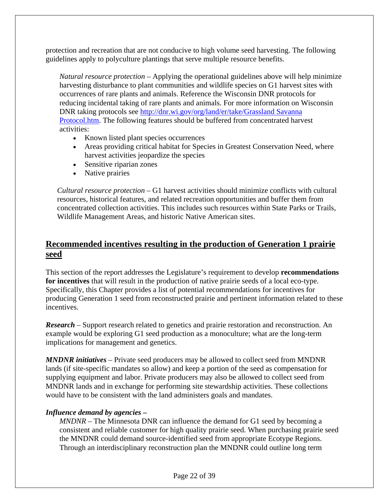protection and recreation that are not conducive to high volume seed harvesting. The following guidelines apply to polyculture plantings that serve multiple resource benefits.

*Natural resource protection –* Applying the operational guidelines above will help minimize harvesting disturbance to plant communities and wildlife species on G1 harvest sites with occurrences of rare plants and animals. Reference the Wisconsin DNR protocols for reducing incidental taking of rare plants and animals. For more information on Wisconsin DNR taking protocols see [http://dnr.wi.gov/org/land/er/take/Grassland Savanna](http://dnr.wi.gov/org/land/er/take/Grassland Savanna Protocol.htm)  [Protocol.htm.](http://dnr.wi.gov/org/land/er/take/Grassland Savanna Protocol.htm) The following features should be buffered from concentrated harvest activities:

- Known listed plant species occurrences
- Areas providing critical habitat for Species in Greatest Conservation Need, where harvest activities jeopardize the species
- Sensitive riparian zones
- Native prairies

*Cultural resource protection –* G1 harvest activities should minimize conflicts with cultural resources, historical features, and related recreation opportunities and buffer them from concentrated collection activities. This includes such resources within State Parks or Trails, Wildlife Management Areas, and historic Native American sites.

## **Recommended incentives resulting in the production of Generation 1 prairie seed**

This section of the report addresses the Legislature's requirement to develop **recommendations for incentives** that will result in the production of native prairie seeds of a local eco-type. Specifically, this Chapter provides a list of potential recommendations for incentives for producing Generation 1 seed from reconstructed prairie and pertinent information related to these incentives.

*Research* – Support research related to genetics and prairie restoration and reconstruction. An example would be exploring G1 seed production as a monoculture; what are the long-term implications for management and genetics.

*MNDNR initiatives* – Private seed producers may be allowed to collect seed from MNDNR lands (if site-specific mandates so allow) and keep a portion of the seed as compensation for supplying equipment and labor. Private producers may also be allowed to collect seed from MNDNR lands and in exchange for performing site stewardship activities. These collections would have to be consistent with the land administers goals and mandates.

### *Influence demand by agencies –*

*MNDNR* – The Minnesota DNR can influence the demand for G1 seed by becoming a consistent and reliable customer for high quality prairie seed. When purchasing prairie seed the MNDNR could demand source-identified seed from appropriate Ecotype Regions. Through an interdisciplinary reconstruction plan the MNDNR could outline long term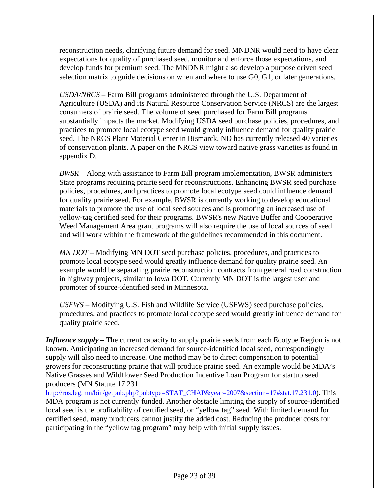reconstruction needs, clarifying future demand for seed. MNDNR would need to have clear expectations for quality of purchased seed, monitor and enforce those expectations, and develop funds for premium seed. The MNDNR might also develop a purpose driven seed selection matrix to guide decisions on when and where to use  $G\theta$ ,  $G1$ , or later generations.

*USDA/NRCS –* Farm Bill programs administered through the U.S. Department of Agriculture (USDA) and its Natural Resource Conservation Service (NRCS) are the largest consumers of prairie seed. The volume of seed purchased for Farm Bill programs substantially impacts the market. Modifying USDA seed purchase policies, procedures, and practices to promote local ecotype seed would greatly influence demand for quality prairie seed. The NRCS Plant Material Center in Bismarck, ND has currently released 40 varieties of conservation plants. A paper on the NRCS view toward native grass varieties is found in appendix D.

*BWSR –* Along with assistance to Farm Bill program implementation, BWSR administers State programs requiring prairie seed for reconstructions. Enhancing BWSR seed purchase policies, procedures, and practices to promote local ecotype seed could influence demand for quality prairie seed. For example, BWSR is currently working to develop educational materials to promote the use of local seed sources and is promoting an increased use of yellow-tag certified seed for their programs. BWSR's new Native Buffer and Cooperative Weed Management Area grant programs will also require the use of local sources of seed and will work within the framework of the guidelines recommended in this document.

*MN DOT –* Modifying MN DOT seed purchase policies, procedures, and practices to promote local ecotype seed would greatly influence demand for quality prairie seed. An example would be separating prairie reconstruction contracts from general road construction in highway projects, similar to Iowa DOT. Currently MN DOT is the largest user and promoter of source-identified seed in Minnesota.

*USFWS –* Modifying U.S. Fish and Wildlife Service (USFWS) seed purchase policies, procedures, and practices to promote local ecotype seed would greatly influence demand for quality prairie seed.

*Influence supply –* The current capacity to supply prairie seeds from each Ecotype Region is not known. Anticipating an increased demand for source-identified local seed, correspondingly supply will also need to increase. One method may be to direct compensation to potential growers for reconstructing prairie that will produce prairie seed. An example would be MDA's Native Grasses and Wildflower Seed Production Incentive Loan Program for startup seed producers (MN Statute 17.231

http://ros.leg.mn/bin/getpub.php?pubtype=STAT\_CHAP&year=2007&section=17#stat.17.231.0). This MDA program is not currently funded. Another obstacle limiting the supply of source-identified local seed is the profitability of certified seed, or "yellow tag" seed. With limited demand for certified seed, many producers cannot justify the added cost. Reducing the producer costs for participating in the "yellow tag program" may help with initial supply issues.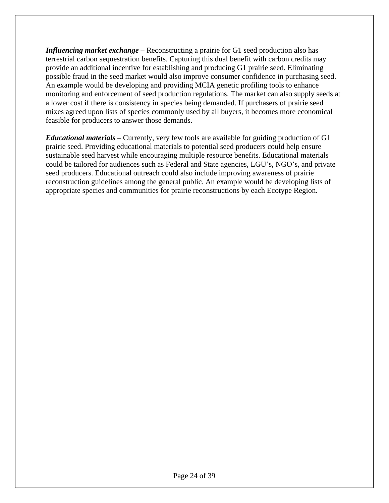*Influencing market exchange –* Reconstructing a prairie for G1 seed production also has terrestrial carbon sequestration benefits. Capturing this dual benefit with carbon credits may provide an additional incentive for establishing and producing G1 prairie seed. Eliminating possible fraud in the seed market would also improve consumer confidence in purchasing seed. An example would be developing and providing MCIA genetic profiling tools to enhance monitoring and enforcement of seed production regulations. The market can also supply seeds at a lower cost if there is consistency in species being demanded. If purchasers of prairie seed mixes agreed upon lists of species commonly used by all buyers, it becomes more economical feasible for producers to answer those demands.

*Educational materials* – Currently, very few tools are available for guiding production of G1 prairie seed. Providing educational materials to potential seed producers could help ensure sustainable seed harvest while encouraging multiple resource benefits. Educational materials could be tailored for audiences such as Federal and State agencies, LGU's, NGO's, and private seed producers. Educational outreach could also include improving awareness of prairie reconstruction guidelines among the general public. An example would be developing lists of appropriate species and communities for prairie reconstructions by each Ecotype Region.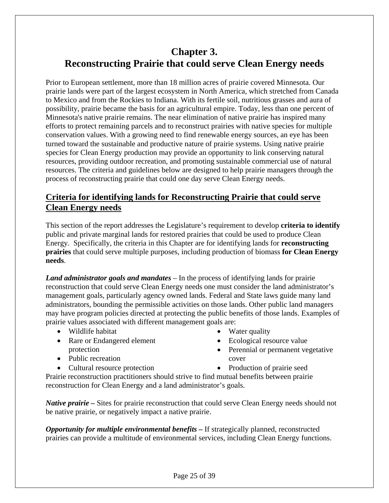## **Chapter 3. Reconstructing Prairie that could serve Clean Energy needs**

Prior to European settlement, more than 18 million acres of prairie covered Minnesota. Our prairie lands were part of the largest ecosystem in North America, which stretched from Canada to Mexico and from the Rockies to Indiana. With its fertile soil, nutritious grasses and aura of possibility, prairie became the basis for an agricultural empire. Today, less than one percent of Minnesota's native prairie remains. The near elimination of native prairie has inspired many efforts to protect remaining parcels and to reconstruct prairies with native species for multiple conservation values. With a growing need to find renewable energy sources, an eye has been turned toward the sustainable and productive nature of prairie systems. Using native prairie species for Clean Energy production may provide an opportunity to link conserving natural resources, providing outdoor recreation, and promoting sustainable commercial use of natural resources. The criteria and guidelines below are designed to help prairie managers through the process of reconstructing prairie that could one day serve Clean Energy needs.

## **Criteria for identifying lands for Reconstructing Prairie that could serve Clean Energy needs**

This section of the report addresses the Legislature's requirement to develop **criteria to identify** public and private marginal lands for restored prairies that could be used to produce Clean Energy. Specifically, the criteria in this Chapter are for identifying lands for **reconstructing prairies** that could serve multiple purposes, including production of biomass **for Clean Energy needs**.

*Land administrator goals and mandates* – In the process of identifying lands for prairie reconstruction that could serve Clean Energy needs one must consider the land administrator's management goals, particularly agency owned lands. Federal and State laws guide many land administrators, bounding the permissible activities on those lands. Other public land managers may have program policies directed at protecting the public benefits of those lands. Examples of prairie values associated with different management goals are:

- Wildlife habitat
- Rare or Endangered element protection
- Public recreation
- Cultural resource protection
- Water quality
- Ecological resource value
- Perennial or permanent vegetative cover
- Production of prairie seed

Prairie reconstruction practitioners should strive to find mutual benefits between prairie reconstruction for Clean Energy and a land administrator's goals.

*Native prairie* – Sites for prairie reconstruction that could serve Clean Energy needs should not be native prairie, or negatively impact a native prairie.

*Opportunity for multiple environmental benefits –* If strategically planned, reconstructed prairies can provide a multitude of environmental services, including Clean Energy functions.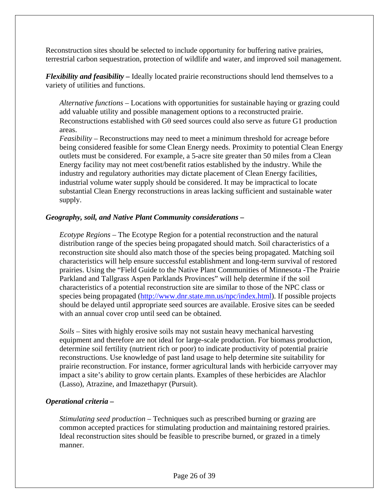Reconstruction sites should be selected to include opportunity for buffering native prairies, terrestrial carbon sequestration, protection of wildlife and water, and improved soil management.

*Flexibility and feasibility –* Ideally located prairie reconstructions should lend themselves to a variety of utilities and functions.

*Alternative functions –* Locations with opportunities for sustainable haying or grazing could add valuable utility and possible management options to a reconstructed prairie. Reconstructions established with  $G\theta$  seed sources could also serve as future G1 production areas.

*Feasibility –* Reconstructions may need to meet a minimum threshold for acreage before being considered feasible for some Clean Energy needs. Proximity to potential Clean Energy outlets must be considered. For example, a 5-acre site greater than 50 miles from a Clean Energy facility may not meet cost/benefit ratios established by the industry. While the industry and regulatory authorities may dictate placement of Clean Energy facilities, industrial volume water supply should be considered. It may be impractical to locate substantial Clean Energy reconstructions in areas lacking sufficient and sustainable water supply.

#### *Geography, soil, and Native Plant Community considerations –*

*Ecotype Regions* – The Ecotype Region for a potential reconstruction and the natural distribution range of the species being propagated should match. Soil characteristics of a reconstruction site should also match those of the species being propagated. Matching soil characteristics will help ensure successful establishment and long-term survival of restored prairies. Using the "Field Guide to the Native Plant Communities of Minnesota -The Prairie Parkland and Tallgrass Aspen Parklands Provinces" will help determine if the soil characteristics of a potential reconstruction site are similar to those of the NPC class or species being propagated [\(http://www.dnr.state.mn.us/npc/index.html\)](http://www.dnr.state.mn.us/npc/index.html). If possible projects should be delayed until appropriate seed sources are available. Erosive sites can be seeded with an annual cover crop until seed can be obtained.

*Soils* – Sites with highly erosive soils may not sustain heavy mechanical harvesting equipment and therefore are not ideal for large-scale production. For biomass production, determine soil fertility (nutrient rich or poor) to indicate productivity of potential prairie reconstructions. Use knowledge of past land usage to help determine site suitability for prairie reconstruction. For instance, former agricultural lands with herbicide carryover may impact a site's ability to grow certain plants. Examples of these herbicides are Alachlor (Lasso), Atrazine, and Imazethapyr (Pursuit).

#### *Operational criteria –*

*Stimulating seed production –* Techniques such as prescribed burning or grazing are common accepted practices for stimulating production and maintaining restored prairies. Ideal reconstruction sites should be feasible to prescribe burned, or grazed in a timely manner.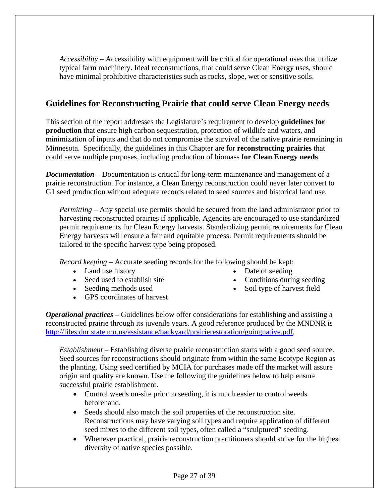*Accessibility* – Accessibility with equipment will be critical for operational uses that utilize typical farm machinery. Ideal reconstructions, that could serve Clean Energy uses, should have minimal prohibitive characteristics such as rocks, slope, wet or sensitive soils.

## **Guidelines for Reconstructing Prairie that could serve Clean Energy needs**

This section of the report addresses the Legislature's requirement to develop **guidelines for production** that ensure high carbon sequestration, protection of wildlife and waters, and minimization of inputs and that do not compromise the survival of the native prairie remaining in Minnesota. Specifically, the guidelines in this Chapter are for **reconstructing prairies** that could serve multiple purposes, including production of biomass **for Clean Energy needs**.

*Documentation* – Documentation is critical for long-term maintenance and management of a prairie reconstruction. For instance, a Clean Energy reconstruction could never later convert to G1 seed production without adequate records related to seed sources and historical land use.

*Permitting –* Any special use permits should be secured from the land administrator prior to harvesting reconstructed prairies if applicable. Agencies are encouraged to use standardized permit requirements for Clean Energy harvests. Standardizing permit requirements for Clean Energy harvests will ensure a fair and equitable process. Permit requirements should be tailored to the specific harvest type being proposed.

*Record keeping –* Accurate seeding records for the following should be kept:

- Land use history
- Seed used to establish site
- Seeding methods used
- GPS coordinates of harvest
- Date of seeding
- Conditions during seeding
- Soil type of harvest field

*Operational practices –* Guidelines below offer considerations for establishing and assisting a reconstructed prairie through its juvenile years. A good reference produced by the MNDNR is [http://files.dnr.state.mn.us/assistance/backyard/prairierestoration/goingnative.pdf.](http://files.dnr.state.mn.us/assistance/backyard/prairierestoration/goingnative.pdf)

*Establishment –* Establishing diverse prairie reconstruction starts with a good seed source. Seed sources for reconstructions should originate from within the same Ecotype Region as the planting. Using seed certified by MCIA for purchases made off the market will assure origin and quality are known. Use the following the guidelines below to help ensure successful prairie establishment.

- Control weeds on-site prior to seeding, it is much easier to control weeds beforehand.
- Seeds should also match the soil properties of the reconstruction site. Reconstructions may have varying soil types and require application of different seed mixes to the different soil types, often called a "sculptured" seeding.
- Whenever practical, prairie reconstruction practitioners should strive for the highest diversity of native species possible.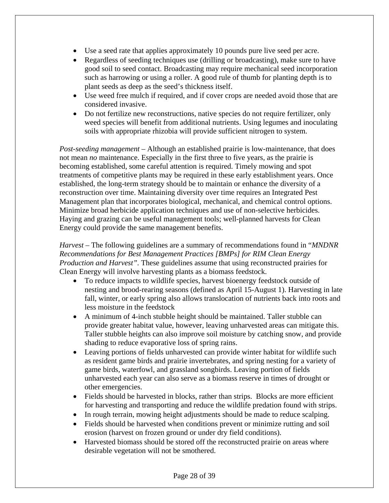- Use a seed rate that applies approximately 10 pounds pure live seed per acre.
- Regardless of seeding techniques use (drilling or broadcasting), make sure to have good soil to seed contact. Broadcasting may require mechanical seed incorporation such as harrowing or using a roller. A good rule of thumb for planting depth is to plant seeds as deep as the seed's thickness itself.
- Use weed free mulch if required, and if cover crops are needed avoid those that are considered invasive.
- Do not fertilize new reconstructions, native species do not require fertilizer, only weed species will benefit from additional nutrients. Using legumes and inoculating soils with appropriate rhizobia will provide sufficient nitrogen to system.

*Post-seeding management* – Although an established prairie is low-maintenance, that does not mean *no* maintenance. Especially in the first three to five years, as the prairie is becoming established, some careful attention is required. Timely mowing and spot treatments of competitive plants may be required in these early establishment years. Once established, the long-term strategy should be to maintain or enhance the diversity of a reconstruction over time. Maintaining diversity over time requires an Integrated Pest Management plan that incorporates biological, mechanical, and chemical control options. Minimize broad herbicide application techniques and use of non-selective herbicides. Haying and grazing can be useful management tools; well-planned harvests for Clean Energy could provide the same management benefits.

*Harvest –* The following guidelines are a summary of recommendations found in "*MNDNR Recommendations for Best Management Practices [BMPs] for RIM Clean Energy Production and Harvest".* These guidelines assume that using reconstructed prairies for Clean Energy will involve harvesting plants as a biomass feedstock.

- To reduce impacts to wildlife species, harvest bioenergy feedstock outside of nesting and brood-rearing seasons (defined as April 15-August 1). Harvesting in late fall, winter, or early spring also allows translocation of nutrients back into roots and less moisture in the feedstock
- A minimum of 4-inch stubble height should be maintained. Taller stubble can provide greater habitat value, however, leaving unharvested areas can mitigate this. Taller stubble heights can also improve soil moisture by catching snow, and provide shading to reduce evaporative loss of spring rains.
- Leaving portions of fields unharvested can provide winter habitat for wildlife such as resident game birds and prairie invertebrates, and spring nesting for a variety of game birds, waterfowl, and grassland songbirds. Leaving portion of fields unharvested each year can also serve as a biomass reserve in times of drought or other emergencies.
- Fields should be harvested in blocks, rather than strips. Blocks are more efficient for harvesting and transporting and reduce the wildlife predation found with strips.
- In rough terrain, mowing height adjustments should be made to reduce scalping.
- Fields should be harvested when conditions prevent or minimize rutting and soil erosion (harvest on frozen ground or under dry field conditions).
- Harvested biomass should be stored off the reconstructed prairie on areas where desirable vegetation will not be smothered.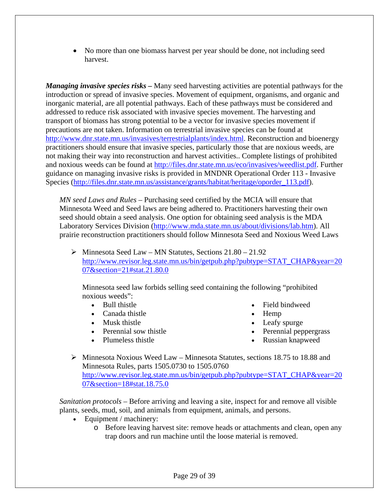• No more than one biomass harvest per year should be done, not including seed harvest.

*Managing invasive species risks –* Many seed harvesting activities are potential pathways for the introduction or spread of invasive species. Movement of equipment, organisms, and organic and inorganic material, are all potential pathways. Each of these pathways must be considered and addressed to reduce risk associated with invasive species movement. The harvesting and transport of biomass has strong potential to be a vector for invasive species movement if precautions are not taken. Information on terrestrial invasive species can be found at [http://www.dnr.state.mn.us/invasives/terrestrialplants/index.html.](http://www.dnr.state.mn.us/invasives/terrestrialplants/index.html) Reconstruction and bioenergy practitioners should ensure that invasive species, particularly those that are noxious weeds, are not making their way into reconstruction and harvest activities.. Complete listings of prohibited and noxious weeds can be found at [http://files.dnr.state.mn.us/eco/invasives/weedlist.pdf.](http://files.dnr.state.mn.us/eco/invasives/weedlist.pdf) Further guidance on managing invasive risks is provided in MNDNR Operational Order 113 - Invasive Species ([http://files.dnr.state.mn.us/assistance/grants/habitat/heritage/oporder\\_113.pdf\)](http://files.dnr.state.mn.us/assistance/grants/habitat/heritage/oporder_113.pdf).

*MN seed Laws and Rules –* Purchasing seed certified by the MCIA will ensure that Minnesota Weed and Seed laws are being adhered to. Practitioners harvesting their own seed should obtain a seed analysis. One option for obtaining seed analysis is the MDA Laboratory Services Division ([http://www.mda.state.mn.us/about/divisions/lab.htm\)](http://www.mda.state.mn.us/about/divisions/lab.htm). All prairie reconstruction practitioners should follow Minnesota Seed and Noxious Weed Laws

 $\triangleright$  Minnesota Seed Law – MN Statutes, Sections 21.80 – 21.92 http://www.revisor.leg.state.mn.us/bin/getpub.php?pubtype=STAT\_CHAP&year=20 07&section=21#stat.21.80.0

Minnesota seed law forbids selling seed containing the following "prohibited noxious weeds":

- Bull thistle
- Canada thistle
- Musk thistle
- Perennial sow thistle
- Plumeless thistle
- Field bindweed
- Hemp
- Leafy spurge
- Perennial peppergrass
- Russian knapweed
- $\triangleright$  Minnesota Noxious Weed Law Minnesota Statutes, sections 18.75 to 18.88 and Minnesota Rules, parts 1505.0730 to 1505.0760 http://www.revisor.leg.state.mn.us/bin/getpub.php?pubtype=STAT\_CHAP&year=20 07&section=18#stat.18.75.0

*Sanitation protocols* – Before arriving and leaving a site, inspect for and remove all visible plants, seeds, mud, soil, and animals from equipment, animals, and persons.

- Equipment / machinery:
	- o Before leaving harvest site: remove heads or attachments and clean, open any trap doors and run machine until the loose material is removed.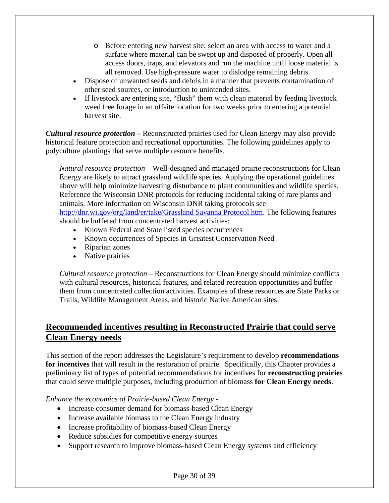- o Before entering new harvest site: select an area with access to water and a surface where material can be swept up and disposed of properly. Open all access doors, traps, and elevators and run the machine until loose material is all removed. Use high-pressure water to dislodge remaining debris.
- Dispose of unwanted seeds and debris in a manner that prevents contamination of other seed sources, or introduction to unintended sites.
- If livestock are entering site, "flush" them with clean material by feeding livestock weed free forage in an offsite location for two weeks prior to entering a potential harvest site.

*Cultural resource protection –* Reconstructed prairies used for Clean Energy may also provide historical feature protection and recreational opportunities. The following guidelines apply to polyculture plantings that serve multiple resource benefits.

*Natural resource protection –* Well-designed and managed prairie reconstructions for Clean Energy are likely to attract grassland wildlife species. Applying the operational guidelines above will help minimize harvesting disturbance to plant communities and wildlife species. Reference the Wisconsin DNR protocols for reducing incidental taking of rare plants and animals. More information on Wisconsin DNR taking protocols see [http://dnr.wi.gov/org/land/er/take/Grassland Savanna Protocol.htm.](http://dnr.wi.gov/org/land/er/take/Grassland Savanna Protocol.htm) The following features should be buffered from concentrated harvest activities:

- Known Federal and State listed species occurrences
- Known occurrences of Species in Greatest Conservation Need
- Riparian zones
- Native prairies

*Cultural resource protection –* Reconstructions for Clean Energy should minimize conflicts with cultural resources, historical features, and related recreation opportunities and buffer them from concentrated collection activities. Examples of these resources are State Parks or Trails, Wildlife Management Areas, and historic Native American sites.

## **Recommended incentives resulting in Reconstructed Prairie that could serve Clean Energy needs**

This section of the report addresses the Legislature's requirement to develop **recommendations for incentives** that will result in the restoration of prairie. Specifically, this Chapter provides a preliminary list of types of potential recommendations for incentives for **reconstructing prairies** that could serve multiple purposes, including production of biomass **for Clean Energy needs**.

*Enhance the economics of Prairie-based Clean Energy -* 

- Increase consumer demand for biomass-based Clean Energy
- Increase available biomass to the Clean Energy industry
- Increase profitability of biomass-based Clean Energy
- Reduce subsidies for competitive energy sources
- Support research to improve biomass-based Clean Energy systems and efficiency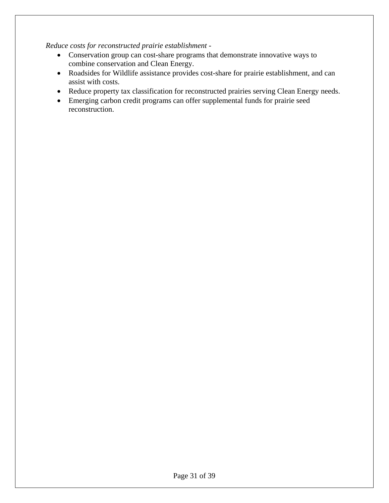*Reduce costs for reconstructed prairie establishment -* 

- Conservation group can cost-share programs that demonstrate innovative ways to combine conservation and Clean Energy.
- Roadsides for Wildlife assistance provides cost-share for prairie establishment, and can assist with costs.
- Reduce property tax classification for reconstructed prairies serving Clean Energy needs.
- Emerging carbon credit programs can offer supplemental funds for prairie seed reconstruction.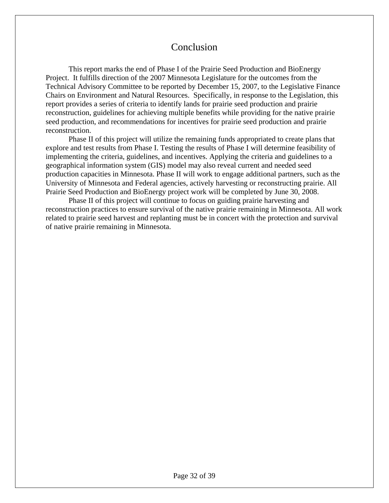## Conclusion

This report marks the end of Phase I of the Prairie Seed Production and BioEnergy Project. It fulfills direction of the 2007 Minnesota Legislature for the outcomes from the Technical Advisory Committee to be reported by December 15, 2007, to the Legislative Finance Chairs on Environment and Natural Resources. Specifically, in response to the Legislation, this report provides a series of criteria to identify lands for prairie seed production and prairie reconstruction, guidelines for achieving multiple benefits while providing for the native prairie seed production, and recommendations for incentives for prairie seed production and prairie reconstruction.

Phase II of this project will utilize the remaining funds appropriated to create plans that explore and test results from Phase I. Testing the results of Phase I will determine feasibility of implementing the criteria, guidelines, and incentives. Applying the criteria and guidelines to a geographical information system (GIS) model may also reveal current and needed seed production capacities in Minnesota. Phase II will work to engage additional partners, such as the University of Minnesota and Federal agencies, actively harvesting or reconstructing prairie. All Prairie Seed Production and BioEnergy project work will be completed by June 30, 2008.

 Phase II of this project will continue to focus on guiding prairie harvesting and reconstruction practices to ensure survival of the native prairie remaining in Minnesota. All work related to prairie seed harvest and replanting must be in concert with the protection and survival of native prairie remaining in Minnesota.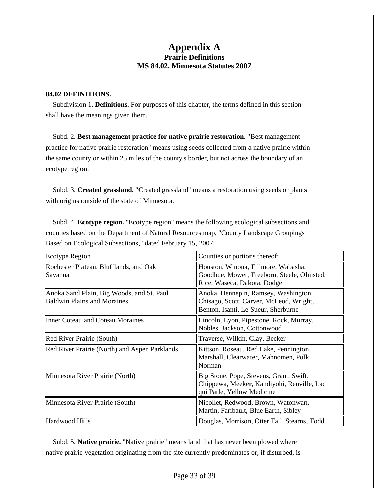### **Appendix A Prairie Definitions MS 84.02, Minnesota Statutes 2007**

#### **84.02 DEFINITIONS.**

 Subdivision 1. **Definitions.** For purposes of this chapter, the terms defined in this section shall have the meanings given them.

 Subd. 2. **Best management practice for native prairie restoration.** "Best management practice for native prairie restoration" means using seeds collected from a native prairie within the same county or within 25 miles of the county's border, but not across the boundary of an ecotype region.

 Subd. 3. **Created grassland.** "Created grassland" means a restoration using seeds or plants with origins outside of the state of Minnesota.

 Subd. 4. **Ecotype region.** "Ecotype region" means the following ecological subsections and counties based on the Department of Natural Resources map, "County Landscape Groupings Based on Ecological Subsections," dated February 15, 2007.

| Ecotype Region                                                                  | Counties or portions thereof:                                                                                          |
|---------------------------------------------------------------------------------|------------------------------------------------------------------------------------------------------------------------|
| Rochester Plateau, Blufflands, and Oak<br>Savanna                               | Houston, Winona, Fillmore, Wabasha,<br>Goodhue, Mower, Freeborn, Steele, Olmsted,<br>Rice, Waseca, Dakota, Dodge       |
| Anoka Sand Plain, Big Woods, and St. Paul<br><b>Baldwin Plains and Moraines</b> | Anoka, Hennepin, Ramsey, Washington,<br>Chisago, Scott, Carver, McLeod, Wright,<br>Benton, Isanti, Le Sueur, Sherburne |
| Inner Coteau and Coteau Moraines                                                | Lincoln, Lyon, Pipestone, Rock, Murray,<br>Nobles, Jackson, Cottonwood                                                 |
| Red River Prairie (South)                                                       | Traverse, Wilkin, Clay, Becker                                                                                         |
| Red River Prairie (North) and Aspen Parklands                                   | Kittson, Roseau, Red Lake, Pennington,<br>Marshall, Clearwater, Mahnomen, Polk,<br>Norman                              |
| Minnesota River Prairie (North)                                                 | Big Stone, Pope, Stevens, Grant, Swift,<br>Chippewa, Meeker, Kandiyohi, Renville, Lac<br>qui Parle, Yellow Medicine    |
| Minnesota River Prairie (South)                                                 | Nicollet, Redwood, Brown, Watonwan,<br>Martin, Faribault, Blue Earth, Sibley                                           |
| Hardwood Hills                                                                  | Douglas, Morrison, Otter Tail, Stearns, Todd                                                                           |

 Subd. 5. **Native prairie.** "Native prairie" means land that has never been plowed where native prairie vegetation originating from the site currently predominates or, if disturbed, is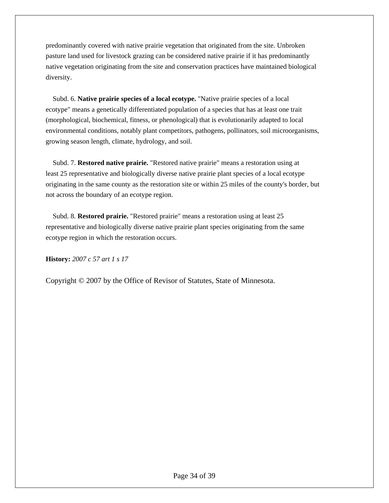predominantly covered with native prairie vegetation that originated from the site. Unbroken pasture land used for livestock grazing can be considered native prairie if it has predominantly native vegetation originating from the site and conservation practices have maintained biological diversity.

 Subd. 6. **Native prairie species of a local ecotype.** "Native prairie species of a local ecotype" means a genetically differentiated population of a species that has at least one trait (morphological, biochemical, fitness, or phenological) that is evolutionarily adapted to local environmental conditions, notably plant competitors, pathogens, pollinators, soil microorganisms, growing season length, climate, hydrology, and soil.

 Subd. 7. **Restored native prairie.** "Restored native prairie" means a restoration using at least 25 representative and biologically diverse native prairie plant species of a local ecotype originating in the same county as the restoration site or within 25 miles of the county's border, but not across the boundary of an ecotype region.

 Subd. 8. **Restored prairie.** "Restored prairie" means a restoration using at least 25 representative and biologically diverse native prairie plant species originating from the same ecotype region in which the restoration occurs.

**History:** *2007 c 57 art 1 s 17* 

Copyright © 2007 by the Office of Revisor of Statutes, State of Minnesota.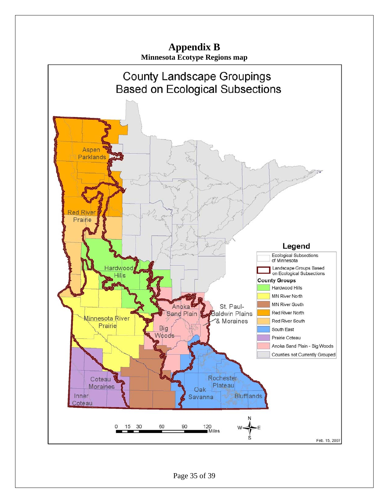

Page 35 of 39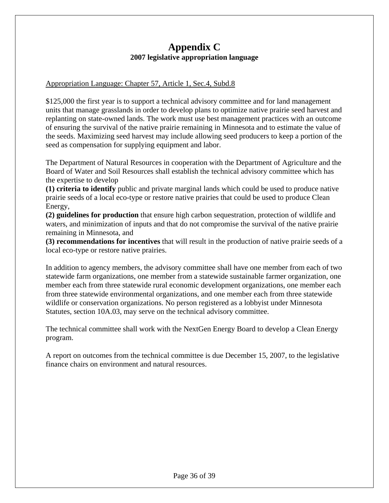## **Appendix C 2007 legislative appropriation language**

### Appropriation Language: Chapter 57, Article 1, Sec.4, Subd.8

\$125,000 the first year is to support a technical advisory committee and for land management units that manage grasslands in order to develop plans to optimize native prairie seed harvest and replanting on state-owned lands. The work must use best management practices with an outcome of ensuring the survival of the native prairie remaining in Minnesota and to estimate the value of the seeds. Maximizing seed harvest may include allowing seed producers to keep a portion of the seed as compensation for supplying equipment and labor.

The Department of Natural Resources in cooperation with the Department of Agriculture and the Board of Water and Soil Resources shall establish the technical advisory committee which has the expertise to develop

**(1) criteria to identify** public and private marginal lands which could be used to produce native prairie seeds of a local eco-type or restore native prairies that could be used to produce Clean Energy,

**(2) guidelines for production** that ensure high carbon sequestration, protection of wildlife and waters, and minimization of inputs and that do not compromise the survival of the native prairie remaining in Minnesota, and

**(3) recommendations for incentives** that will result in the production of native prairie seeds of a local eco-type or restore native prairies.

In addition to agency members, the advisory committee shall have one member from each of two statewide farm organizations, one member from a statewide sustainable farmer organization, one member each from three statewide rural economic development organizations, one member each from three statewide environmental organizations, and one member each from three statewide wildlife or conservation organizations. No person registered as a lobbyist under Minnesota Statutes, section 10A.03, may serve on the technical advisory committee.

The technical committee shall work with the NextGen Energy Board to develop a Clean Energy program.

A report on outcomes from the technical committee is due December 15, 2007, to the legislative finance chairs on environment and natural resources.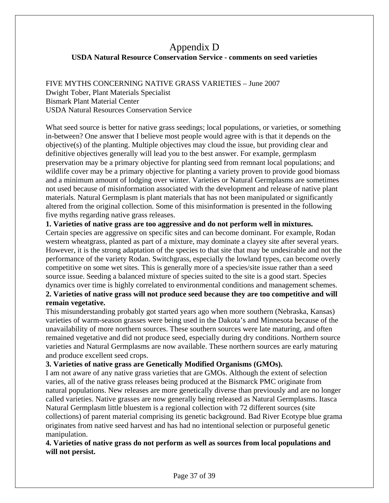### Appendix D **USDA Natural Resource Conservation Service - comments on seed varieties**

FIVE MYTHS CONCERNING NATIVE GRASS VARIETIES – June 2007 Dwight Tober, Plant Materials Specialist Bismark Plant Material Center USDA Natural Resources Conservation Service

What seed source is better for native grass seedings; local populations, or varieties, or something in-between? One answer that I believe most people would agree with is that it depends on the objective(s) of the planting. Multiple objectives may cloud the issue, but providing clear and definitive objectives generally will lead you to the best answer. For example, germplasm preservation may be a primary objective for planting seed from remnant local populations; and wildlife cover may be a primary objective for planting a variety proven to provide good biomass and a minimum amount of lodging over winter. Varieties or Natural Germplasms are sometimes not used because of misinformation associated with the development and release of native plant materials. Natural Germplasm is plant materials that has not been manipulated or significantly altered from the original collection. Some of this misinformation is presented in the following five myths regarding native grass releases.

**1. Varieties of native grass are too aggressive and do not perform well in mixtures.** 

Certain species are aggressive on specific sites and can become dominant. For example, Rodan western wheatgrass, planted as part of a mixture, may dominate a clayey site after several years. However, it is the strong adaptation of the species to that site that may be undesirable and not the performance of the variety Rodan. Switchgrass, especially the lowland types, can become overly competitive on some wet sites. This is generally more of a species/site issue rather than a seed source issue. Seeding a balanced mixture of species suited to the site is a good start. Species dynamics over time is highly correlated to environmental conditions and management schemes. **2. Varieties of native grass will not produce seed because they are too competitive and will** 

#### **remain vegetative.**

This misunderstanding probably got started years ago when more southern (Nebraska, Kansas) varieties of warm-season grasses were being used in the Dakota's and Minnesota because of the unavailability of more northern sources. These southern sources were late maturing, and often remained vegetative and did not produce seed, especially during dry conditions. Northern source varieties and Natural Germplasms are now available. These northern sources are early maturing and produce excellent seed crops.

#### **3. Varieties of native grass are Genetically Modified Organisms (GMOs).**

I am not aware of any native grass varieties that are GMOs. Although the extent of selection varies, all of the native grass releases being produced at the Bismarck PMC originate from natural populations. New releases are more genetically diverse than previously and are no longer called varieties. Native grasses are now generally being released as Natural Germplasms. Itasca Natural Germplasm little bluestem is a regional collection with 72 different sources (site collections) of parent material comprising its genetic background. Bad River Ecotype blue grama originates from native seed harvest and has had no intentional selection or purposeful genetic manipulation.

**4. Varieties of native grass do not perform as well as sources from local populations and will not persist.**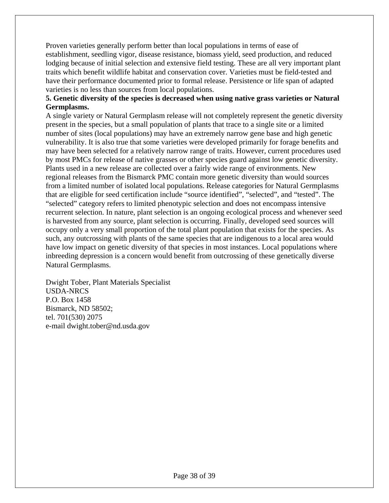Proven varieties generally perform better than local populations in terms of ease of establishment, seedling vigor, disease resistance, biomass yield, seed production, and reduced lodging because of initial selection and extensive field testing. These are all very important plant traits which benefit wildlife habitat and conservation cover. Varieties must be field-tested and have their performance documented prior to formal release. Persistence or life span of adapted varieties is no less than sources from local populations.

### **5. Genetic diversity of the species is decreased when using native grass varieties or Natural Germplasms.**

A single variety or Natural Germplasm release will not completely represent the genetic diversity present in the species, but a small population of plants that trace to a single site or a limited number of sites (local populations) may have an extremely narrow gene base and high genetic vulnerability. It is also true that some varieties were developed primarily for forage benefits and may have been selected for a relatively narrow range of traits. However, current procedures used by most PMCs for release of native grasses or other species guard against low genetic diversity. Plants used in a new release are collected over a fairly wide range of environments. New regional releases from the Bismarck PMC contain more genetic diversity than would sources from a limited number of isolated local populations. Release categories for Natural Germplasms that are eligible for seed certification include "source identified", "selected", and "tested". The "selected" category refers to limited phenotypic selection and does not encompass intensive recurrent selection. In nature, plant selection is an ongoing ecological process and whenever seed is harvested from any source, plant selection is occurring. Finally, developed seed sources will occupy only a very small proportion of the total plant population that exists for the species. As such, any outcrossing with plants of the same species that are indigenous to a local area would have low impact on genetic diversity of that species in most instances. Local populations where inbreeding depression is a concern would benefit from outcrossing of these genetically diverse Natural Germplasms.

Dwight Tober, Plant Materials Specialist USDA-NRCS P.O. Box 1458 Bismarck, ND 58502; tel. 701(530) 2075 e-mail dwight.tober@nd.usda.gov